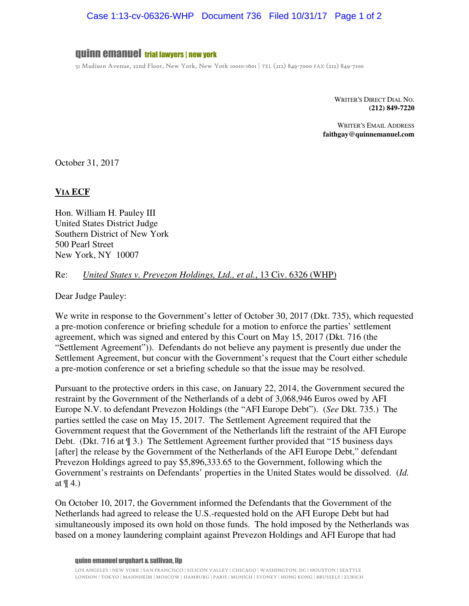# Case 1:13-cv-06326-WHP Document 736 Filed 10/31/17 Page 1 of 2

## quinn emanuel trial lawyers | new york

51 Madison Avenue, 22nd Floor, New York, New York 10010-1601 | TEL (212) 849-7000 FAX (212) 849-7100

WRITER'S DIRECT DIAL NO. **(212) 849-7220** 

WRITER'S EMAIL ADDRESS **faithgay@quinnemanuel.com** 

October 31, 2017

#### **VIA ECF**

Hon. William H. Pauley III United States District Judge Southern District of New York 500 Pearl Street New York, NY 10007

### Re: *United States v. Prevezon Holdings, Ltd., et al.*, 13 Civ. 6326 (WHP)

Dear Judge Pauley:

We write in response to the Government's letter of October 30, 2017 (Dkt. 735), which requested a pre-motion conference or briefing schedule for a motion to enforce the parties' settlement agreement, which was signed and entered by this Court on May 15, 2017 (Dkt. 716 (the "Settlement Agreement")). Defendants do not believe any payment is presently due under the Settlement Agreement, but concur with the Government's request that the Court either schedule a pre-motion conference or set a briefing schedule so that the issue may be resolved.

Pursuant to the protective orders in this case, on January 22, 2014, the Government secured the restraint by the Government of the Netherlands of a debt of 3,068,946 Euros owed by AFI Europe N.V. to defendant Prevezon Holdings (the "AFI Europe Debt"). (*See* Dkt. 735.) The parties settled the case on May 15, 2017. The Settlement Agreement required that the Government request that the Government of the Netherlands lift the restraint of the AFI Europe Debt. (Dkt. 716 at  $\mathcal{F}(3.1)$ ) The Settlement Agreement further provided that "15 business days [after] the release by the Government of the Netherlands of the AFI Europe Debt," defendant Prevezon Holdings agreed to pay \$5,896,333.65 to the Government, following which the Government's restraints on Defendants' properties in the United States would be dissolved. (*Id.* at ¶ 4.)

On October 10, 2017, the Government informed the Defendants that the Government of the Netherlands had agreed to release the U.S.-requested hold on the AFI Europe Debt but had simultaneously imposed its own hold on those funds. The hold imposed by the Netherlands was based on a money laundering complaint against Prevezon Holdings and AFI Europe that had

#### quinn emanuel urquhart & sullivan, llp